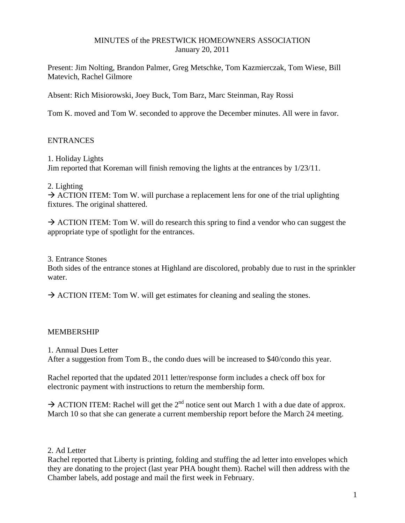# MINUTES of the PRESTWICK HOMEOWNERS ASSOCIATION January 20, 2011

Present: Jim Nolting, Brandon Palmer, Greg Metschke, Tom Kazmierczak, Tom Wiese, Bill Matevich, Rachel Gilmore

Absent: Rich Misiorowski, Joey Buck, Tom Barz, Marc Steinman, Ray Rossi

Tom K. moved and Tom W. seconded to approve the December minutes. All were in favor.

# **ENTRANCES**

1. Holiday Lights Jim reported that Koreman will finish removing the lights at the entrances by 1/23/11.

2. Lighting

 $\rightarrow$  ACTION ITEM: Tom W. will purchase a replacement lens for one of the trial uplighting fixtures. The original shattered.

 $\rightarrow$  ACTION ITEM: Tom W. will do research this spring to find a vendor who can suggest the appropriate type of spotlight for the entrances.

3. Entrance Stones

Both sides of the entrance stones at Highland are discolored, probably due to rust in the sprinkler water.

 $\rightarrow$  ACTION ITEM: Tom W. will get estimates for cleaning and sealing the stones.

# MEMBERSHIP

1. Annual Dues Letter

After a suggestion from Tom B., the condo dues will be increased to \$40/condo this year.

Rachel reported that the updated 2011 letter/response form includes a check off box for electronic payment with instructions to return the membership form.

 $\rightarrow$  ACTION ITEM: Rachel will get the 2<sup>nd</sup> notice sent out March 1 with a due date of approx. March 10 so that she can generate a current membership report before the March 24 meeting.

### 2. Ad Letter

Rachel reported that Liberty is printing, folding and stuffing the ad letter into envelopes which they are donating to the project (last year PHA bought them). Rachel will then address with the Chamber labels, add postage and mail the first week in February.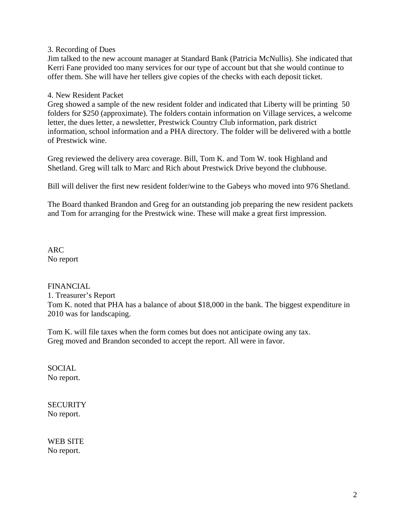# 3. Recording of Dues

Jim talked to the new account manager at Standard Bank (Patricia McNullis). She indicated that Kerri Fane provided too many services for our type of account but that she would continue to offer them. She will have her tellers give copies of the checks with each deposit ticket.

### 4. New Resident Packet

Greg showed a sample of the new resident folder and indicated that Liberty will be printing 50 folders for \$250 (approximate). The folders contain information on Village services, a welcome letter, the dues letter, a newsletter, Prestwick Country Club information, park district information, school information and a PHA directory. The folder will be delivered with a bottle of Prestwick wine.

Greg reviewed the delivery area coverage. Bill, Tom K. and Tom W. took Highland and Shetland. Greg will talk to Marc and Rich about Prestwick Drive beyond the clubhouse.

Bill will deliver the first new resident folder/wine to the Gabeys who moved into 976 Shetland.

The Board thanked Brandon and Greg for an outstanding job preparing the new resident packets and Tom for arranging for the Prestwick wine. These will make a great first impression.

ARC No report

### FINANCIAL

1. Treasurer's Report Tom K. noted that PHA has a balance of about \$18,000 in the bank. The biggest expenditure in 2010 was for landscaping.

Tom K. will file taxes when the form comes but does not anticipate owing any tax. Greg moved and Brandon seconded to accept the report. All were in favor.

SOCIAL No report.

**SECURITY** No report.

WEB SITE No report.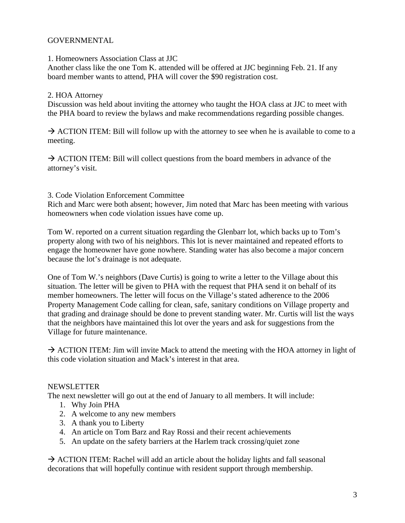# GOVERNMENTAL

#### 1. Homeowners Association Class at JJC

Another class like the one Tom K. attended will be offered at JJC beginning Feb. 21. If any board member wants to attend, PHA will cover the \$90 registration cost.

#### 2. HOA Attorney

Discussion was held about inviting the attorney who taught the HOA class at JJC to meet with the PHA board to review the bylaws and make recommendations regarding possible changes.

 $\rightarrow$  ACTION ITEM: Bill will follow up with the attorney to see when he is available to come to a meeting.

 $\rightarrow$  ACTION ITEM: Bill will collect questions from the board members in advance of the attorney's visit.

3. Code Violation Enforcement Committee

Rich and Marc were both absent; however, Jim noted that Marc has been meeting with various homeowners when code violation issues have come up.

Tom W. reported on a current situation regarding the Glenbarr lot, which backs up to Tom's property along with two of his neighbors. This lot is never maintained and repeated efforts to engage the homeowner have gone nowhere. Standing water has also become a major concern because the lot's drainage is not adequate.

One of Tom W.'s neighbors (Dave Curtis) is going to write a letter to the Village about this situation. The letter will be given to PHA with the request that PHA send it on behalf of its member homeowners. The letter will focus on the Village's stated adherence to the 2006 Property Management Code calling for clean, safe, sanitary conditions on Village property and that grading and drainage should be done to prevent standing water. Mr. Curtis will list the ways that the neighbors have maintained this lot over the years and ask for suggestions from the Village for future maintenance.

 $\rightarrow$  ACTION ITEM: Jim will invite Mack to attend the meeting with the HOA attorney in light of this code violation situation and Mack's interest in that area.

### NEWSLETTER

The next newsletter will go out at the end of January to all members. It will include:

- 1. Why Join PHA
- 2. A welcome to any new members
- 3. A thank you to Liberty
- 4. An article on Tom Barz and Ray Rossi and their recent achievements
- 5. An update on the safety barriers at the Harlem track crossing/quiet zone

 $\rightarrow$  ACTION ITEM: Rachel will add an article about the holiday lights and fall seasonal decorations that will hopefully continue with resident support through membership.